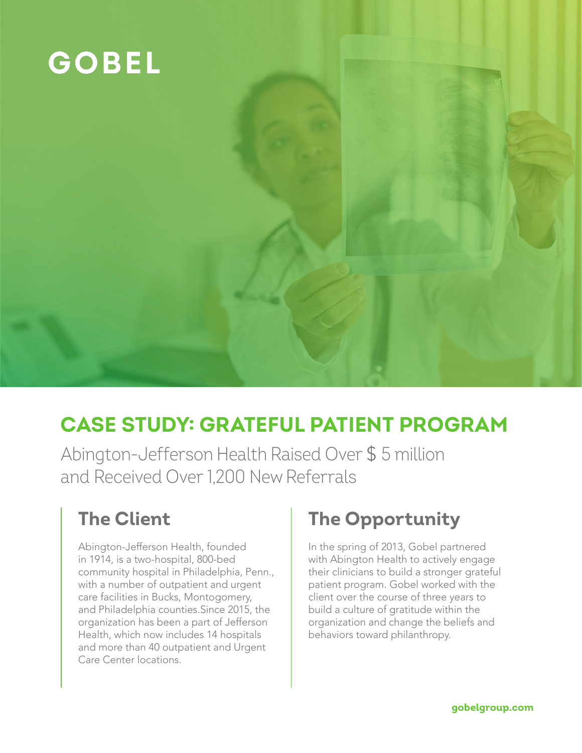

# **CASE STUDY: GRATEFUL PATIENT PROGRAM**

Abington-Jefferson Health Raised Over \$ 5 million and Received Over 1,200 New Referrals

## **The Client**

Abington-Jefferson Health, founded in 1914, is a two-hospital, 800-bed community hospital in Philadelphia, Penn., with a number of outpatient and urgent care facilities in Bucks, Montogomery, and Philadelphia counties.Since 2015, the organization has been a part of Jefferson Health, which now includes 14 hospitals and more than 40 outpatient and Urgent Care Center locations.

## **The Opportunity**

In the spring of 2013, Gobel partnered with Abington Health to actively engage their clinicians to build a stronger grateful patient program. Gobel worked with the client over the course of three years to build a culture of gratitude within the organization and change the beliefs and behaviors toward philanthropy.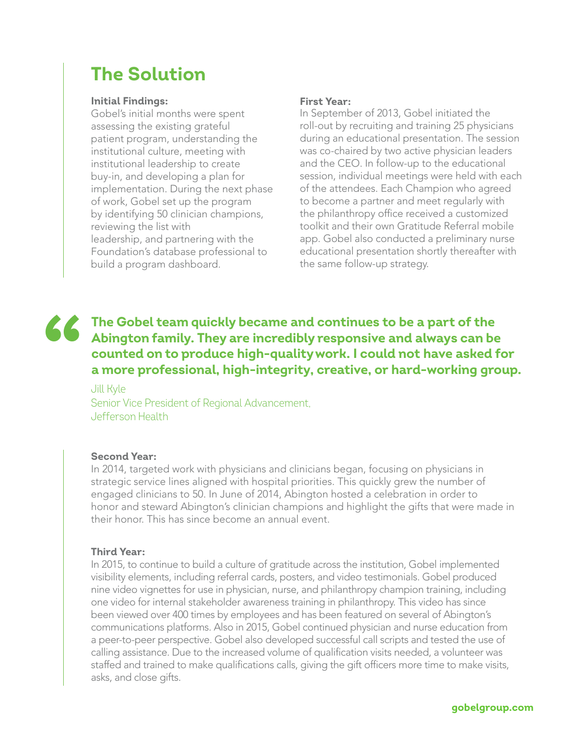## **The Solution**

### **Initial Findings:**

Gobel's initial months were spent assessing the existing grateful patient program, understanding the institutional culture, meeting with institutional leadership to create buy-in, and developing a plan for implementation. During the next phase of work, Gobel set up the program by identifying 50 clinician champions, reviewing the list with leadership, and partnering with the Foundation's database professional to build a program dashboard.

### **First Year:**

In September of 2013, Gobel initiated the roll-out by recruiting and training 25 physicians during an educational presentation. The session was co-chaired by two active physician leaders and the CEO. In follow-up to the educational session, individual meetings were held with each of the attendees. Each Champion who agreed to become a partner and meet regularly with the philanthropy office received a customized toolkit and their own Gratitude Referral mobile app. Gobel also conducted a preliminary nurse educational presentation shortly thereafter with the same follow-up strategy.

### The Gobel team quickly became and continues to be a part of the Abington family. They are incredibly responsive and always can be counted on to produce high-quality work. I could not have asked f<br>a more professional, high-**Abington family. They are incredibly responsive and always can be counted on to produce high-quality work. I could not have asked for a more professional, high-integrity, creative, or hard-working group.**

Jill Kyle Senior Vice President of Regional Advancement, Jefferson Health

### **Second Year:**

In 2014, targeted work with physicians and clinicians began, focusing on physicians in strategic service lines aligned with hospital priorities. This quickly grew the number of engaged clinicians to 50. In June of 2014, Abington hosted a celebration in order to honor and steward Abington's clinician champions and highlight the gifts that were made in their honor. This has since become an annual event.

### **Third Year:**

In 2015, to continue to build a culture of gratitude across the institution, Gobel implemented visibility elements, including referral cards, posters, and video testimonials. Gobel produced nine video vignettes for use in physician, nurse, and philanthropy champion training, including one video for internal stakeholder awareness training in philanthropy. This video has since been viewed over 400 times by employees and has been featured on several of Abington's communications platforms. Also in 2015, Gobel continued physician and nurse education from a peer-to-peer perspective. Gobel also developed successful call scripts and tested the use of calling assistance. Due to the increased volume of qualification visits needed, a volunteer was staffed and trained to make qualifications calls, giving the gift officers more time to make visits, asks, and close gifts.